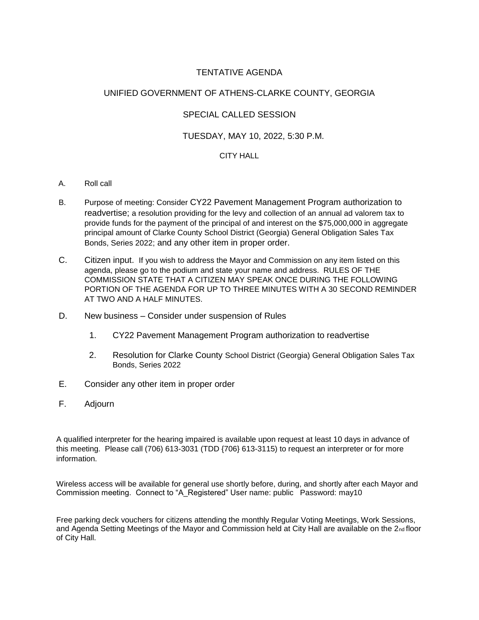## TENTATIVE AGENDA

#### UNIFIED GOVERNMENT OF ATHENS-CLARKE COUNTY, GEORGIA

#### SPECIAL CALLED SESSION

#### TUESDAY, MAY 10, 2022, 5:30 P.M.

#### CITY HALL

- A. Roll call
- B. Purpose of meeting: Consider CY22 Pavement Management Program authorization to readvertise; a resolution providing for the levy and collection of an annual ad valorem tax to provide funds for the payment of the principal of and interest on the \$75,000,000 in aggregate principal amount of Clarke County School District (Georgia) General Obligation Sales Tax Bonds, Series 2022; and any other item in proper order.
- C. Citizen input. If you wish to address the Mayor and Commission on any item listed on this agenda, please go to the podium and state your name and address. RULES OF THE COMMISSION STATE THAT A CITIZEN MAY SPEAK ONCE DURING THE FOLLOWING PORTION OF THE AGENDA FOR UP TO THREE MINUTES WITH A 30 SECOND REMINDER AT TWO AND A HALF MINUTES.
- D. New business Consider under suspension of Rules
	- 1. CY22 Pavement Management Program authorization to readvertise
	- 2. Resolution for Clarke County School District (Georgia) General Obligation Sales Tax Bonds, Series 2022
- E. Consider any other item in proper order
- F. Adjourn

A qualified interpreter for the hearing impaired is available upon request at least 10 days in advance of this meeting. Please call (706) 613-3031 (TDD {706} 613-3115) to request an interpreter or for more information.

Wireless access will be available for general use shortly before, during, and shortly after each Mayor and Commission meeting. Connect to "A\_Registered" User name: public Password: may10

Free parking deck vouchers for citizens attending the monthly Regular Voting Meetings, Work Sessions, and Agenda Setting Meetings of the Mayor and Commission held at City Hall are available on the 2nd floor of City Hall.